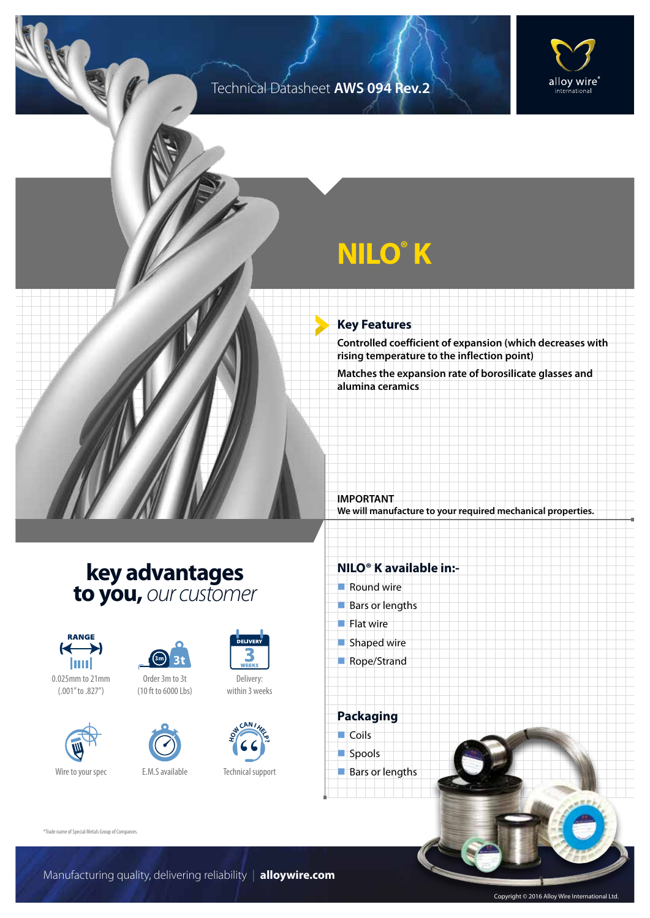### Technical Datasheet **AWS 094 Rev.2**



# **NILO® K**

#### **Key Features**

**Controlled coefficient of expansion (which decreases with rising temperature to the inflection point)**

**Matches the expansion rate of borosilicate glasses and alumina ceramics**

**IMPORTANT We will manufacture to your required mechanical properties.**

## **key advantages to you,** *our customer*



0.025mm to 21mm (.001" to .827")





(10 ft to 6000 Lbs)



Delivery: within 3 weeks



Technical support

#### **NILO® K available in:-**

- $\blacksquare$  Round wire
- $Bars$  or lengths
- $\blacksquare$  Flat wire
- $\blacksquare$  Shaped wire
- Rope/Strand

**Packaging**  $\Box$  Coils spools  $\blacksquare$  Bars or lengths

®Trade name of Special Metals Group of Companies.

Copyright © 2016 Alloy Wire International Ltd.